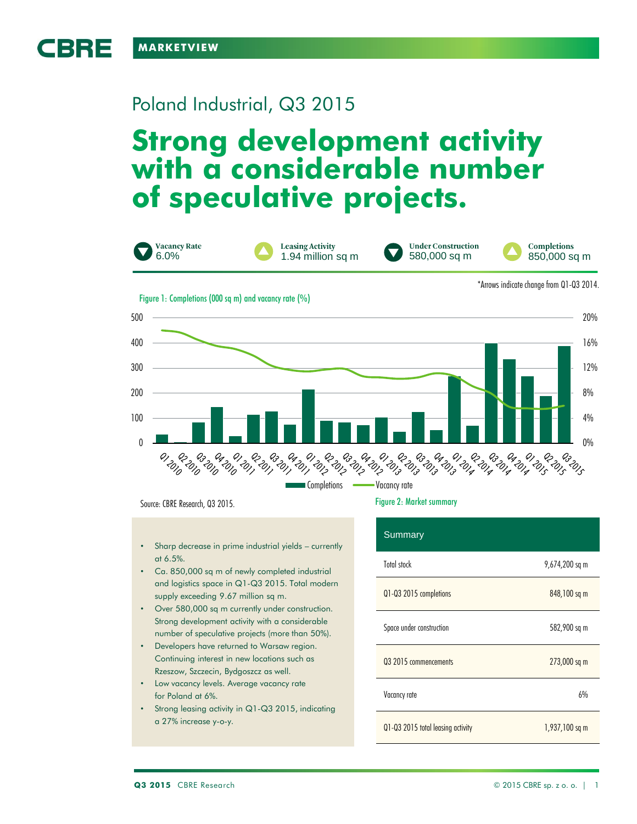

CBRE

# Poland Industrial, Q3 2015

# **Strong development activity with a considerable number of speculative projects.**



Source: CBRE Research, Q3 2015.

- Sharp decrease in prime industrial yields currently at 6.5%.
- Ca. 850,000 sq m of newly completed industrial and logistics space in Q1-Q3 2015. Total modern supply exceeding 9.67 million sq m.
- Over 580,000 sq m currently under construction. Strong development activity with a considerable number of speculative projects (more than 50%).
- Developers have returned to Warsaw region. Continuing interest in new locations such as Rzeszow, Szczecin, Bydgoszcz as well.
- Low vacancy levels. Average vacancy rate for Poland at 6%.
- Strong leasing activity in Q1-Q3 2015, indicating a 27% increase y-o-y.

# Figure 2: Market summary

| <b>Summary</b>                    |                |
|-----------------------------------|----------------|
| Total stock                       | 9,674,200 sq m |
| Q1-Q3 2015 completions            | 848,100 sq m   |
| Space under construction          | 582,900 sq m   |
| 03 2015 commencements             | 273,000 sq m   |
| Vacancy rate                      | 6%             |
| Q1-Q3 2015 total leasing activity | 1,937,100 sq m |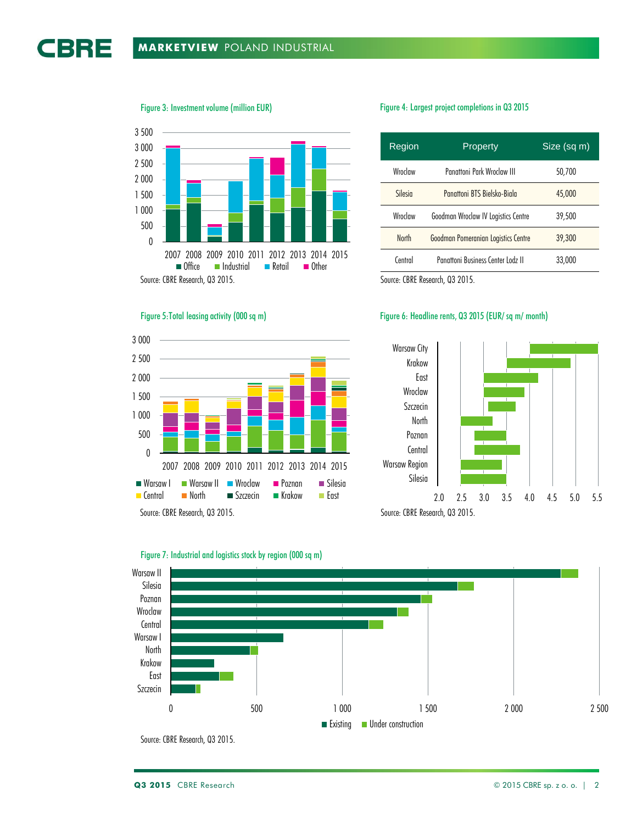Figure 3: Investment volume (million EUR)

Source: CBRE Research, Q3 2015. 0 500 1 000 1 500 2 000 2 500 3 000 3 500 2007 2008 2009 2010 2011 2012 2013 2014 2015  $\blacksquare$  Industrial

## Figure 5:Total leasing activity (000 sq m)



# Figure 4: Largest project completions in Q3 2015

| Region       | Property                            | Size (sq m) |
|--------------|-------------------------------------|-------------|
| Wroclaw      | Panattoni Park Wroclaw III          | 50,700      |
| Silesin      | Panattoni BTS Bielsko-Biala         | 45,000      |
| Wroclaw      | Goodman Wroclaw IV Logistics Centre | 39,500      |
| <b>North</b> | Goodman Pomeranian Logistics Centre | 39,300      |
| Central      | Panattoni Business Center Lodz II   | 33,000      |

Source: CBRE Research, Q3 2015.

# Figure 6: Headline rents, Q3 2015 (EUR/ sq m/ month)





# Figure 7: Industrial and logistics stock by region (000 sq m)

Source: CBRE Research, Q3 2015.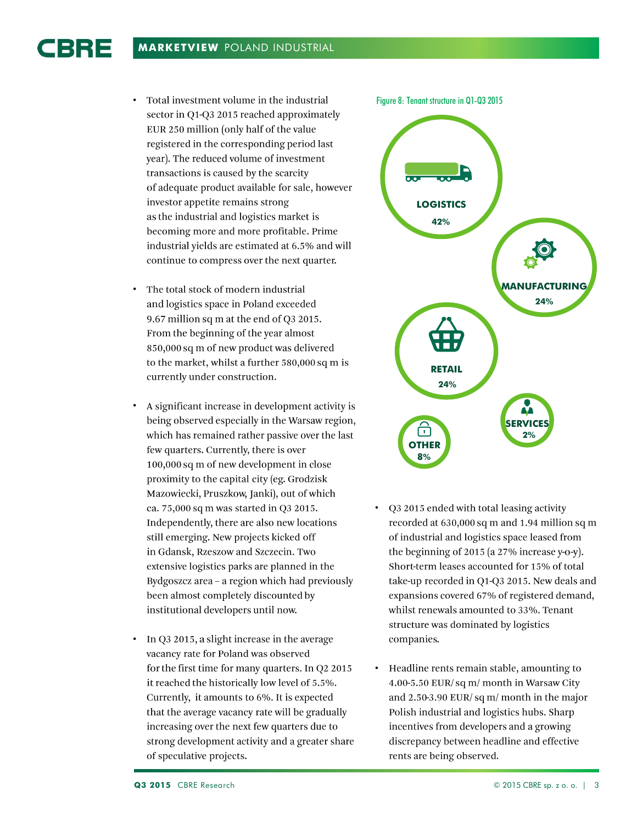CBRE

- Total investment volume in the industrial sector in Q1-Q3 2015 reached approximately EUR 250 million (only half of the value registered in the corresponding period last year). The reduced volume of investment transactions is caused by the scarcity of adequate product available for sale, however investor appetite remains strong as the industrial and logistics market is becoming more and more profitable. Prime industrial yields are estimated at 6.5% and will continue to compress over the next quarter.
- The total stock of modern industrial and logistics space in Poland exceeded 9.67 million sq m at the end of Q3 2015. From the beginning of the year almost 850,000 sq m of new product was delivered to the market, whilst a further 580,000 sq m is currently under construction.
- A significant increase in development activity is • being observed especially in the Warsaw region, which has remained rather passive over the last few quarters. Currently, there is over 100,000 sq m of new development in close proximity to the capital city (eg. Grodzisk Mazowiecki, Pruszkow, Janki), out of which ca. 75,000 sq m was started in Q3 2015. Independently, there are also new locations still emerging. New projects kicked off in Gdansk, Rzeszow and Szczecin. Two extensive logistics parks are planned in the Bydgoszcz area - a region which had previously been almost completely discounted by institutional developers until now.
- In Q3 2015, a slight increase in the average vacancy rate for Poland was observed for the first time for many quarters. In Q2 2015 it reached the historically low level of 5.5%. Currently, it amounts to 6%. It is expected that the average vacancy rate will be gradually increasing over the next few quarters due to strong development activity and a greater share of speculative projects.



- Q3 2015 ended with total leasing activity • recorded at 630,000 sq m and 1.94 million sq m of industrial and logistics space leased from the beginning of 2015 (a  $27\%$  increase y-o-y). Short-term leases accounted for 15% of total take-up recorded in Q1-Q3 2015. New deals and expansions covered 67% of registered demand, whilst renewals amounted to 33%. Tenant structure was dominated by logistics companies.
- Headline rents remain stable, amounting to • 4.00-5.50 EUR/sq m/ month in Warsaw City and 2.50-3.90 EUR/sq m/month in the major Polish industrial and logistics hubs. Sharp incentives from developers and a growing discrepancy between headline and effective rents are being observed.